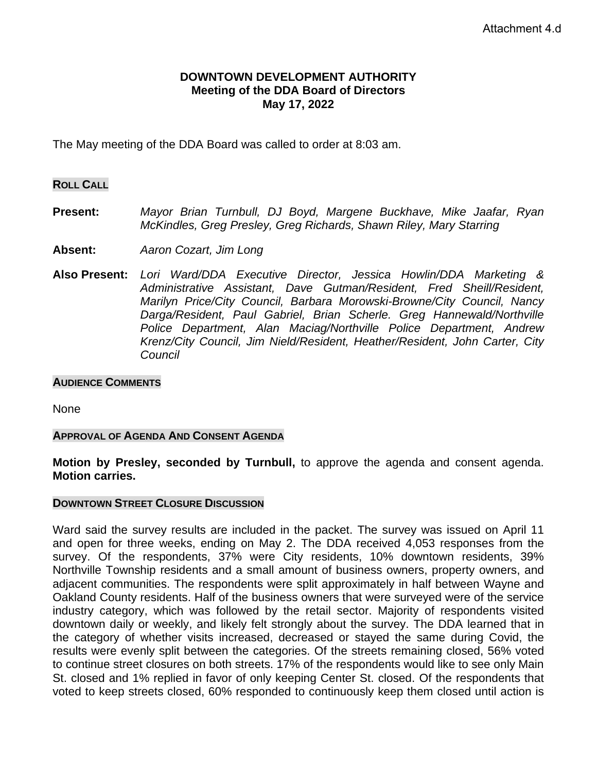## **DOWNTOWN DEVELOPMENT AUTHORITY Meeting of the DDA Board of Directors May 17, 2022**

The May meeting of the DDA Board was called to order at 8:03 am.

#### **ROLL CALL**

- **Present:** *Mayor Brian Turnbull, DJ Boyd, Margene Buckhave, Mike Jaafar, Ryan McKindles, Greg Presley, Greg Richards, Shawn Riley, Mary Starring*
- **Absent:** *Aaron Cozart, Jim Long*
- **Also Present:** *Lori Ward/DDA Executive Director, Jessica Howlin/DDA Marketing & Administrative Assistant, Dave Gutman/Resident, Fred Sheill/Resident, Marilyn Price/City Council, Barbara Morowski-Browne/City Council, Nancy Darga/Resident, Paul Gabriel, Brian Scherle. Greg Hannewald/Northville Police Department, Alan Maciag/Northville Police Department, Andrew Krenz/City Council, Jim Nield/Resident, Heather/Resident, John Carter, City Council*

#### **AUDIENCE COMMENTS**

None

#### **APPROVAL OF AGENDA AND CONSENT AGENDA**

**Motion by Presley, seconded by Turnbull,** to approve the agenda and consent agenda. **Motion carries.** 

#### **DOWNTOWN STREET CLOSURE DISCUSSION**

Ward said the survey results are included in the packet. The survey was issued on April 11 and open for three weeks, ending on May 2. The DDA received 4,053 responses from the survey. Of the respondents, 37% were City residents, 10% downtown residents, 39% Northville Township residents and a small amount of business owners, property owners, and adjacent communities. The respondents were split approximately in half between Wayne and Oakland County residents. Half of the business owners that were surveyed were of the service industry category, which was followed by the retail sector. Majority of respondents visited downtown daily or weekly, and likely felt strongly about the survey. The DDA learned that in the category of whether visits increased, decreased or stayed the same during Covid, the results were evenly split between the categories. Of the streets remaining closed, 56% voted to continue street closures on both streets. 17% of the respondents would like to see only Main St. closed and 1% replied in favor of only keeping Center St. closed. Of the respondents that voted to keep streets closed, 60% responded to continuously keep them closed until action is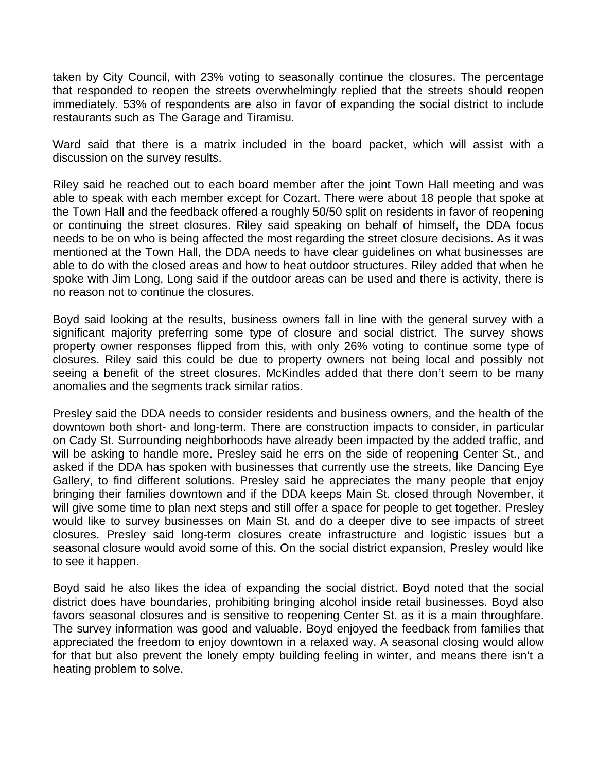taken by City Council, with 23% voting to seasonally continue the closures. The percentage that responded to reopen the streets overwhelmingly replied that the streets should reopen immediately. 53% of respondents are also in favor of expanding the social district to include restaurants such as The Garage and Tiramisu.

Ward said that there is a matrix included in the board packet, which will assist with a discussion on the survey results.

Riley said he reached out to each board member after the joint Town Hall meeting and was able to speak with each member except for Cozart. There were about 18 people that spoke at the Town Hall and the feedback offered a roughly 50/50 split on residents in favor of reopening or continuing the street closures. Riley said speaking on behalf of himself, the DDA focus needs to be on who is being affected the most regarding the street closure decisions. As it was mentioned at the Town Hall, the DDA needs to have clear guidelines on what businesses are able to do with the closed areas and how to heat outdoor structures. Riley added that when he spoke with Jim Long, Long said if the outdoor areas can be used and there is activity, there is no reason not to continue the closures.

Boyd said looking at the results, business owners fall in line with the general survey with a significant majority preferring some type of closure and social district. The survey shows property owner responses flipped from this, with only 26% voting to continue some type of closures. Riley said this could be due to property owners not being local and possibly not seeing a benefit of the street closures. McKindles added that there don't seem to be many anomalies and the segments track similar ratios.

Presley said the DDA needs to consider residents and business owners, and the health of the downtown both short- and long-term. There are construction impacts to consider, in particular on Cady St. Surrounding neighborhoods have already been impacted by the added traffic, and will be asking to handle more. Presley said he errs on the side of reopening Center St., and asked if the DDA has spoken with businesses that currently use the streets, like Dancing Eye Gallery, to find different solutions. Presley said he appreciates the many people that enjoy bringing their families downtown and if the DDA keeps Main St. closed through November, it will give some time to plan next steps and still offer a space for people to get together. Presley would like to survey businesses on Main St. and do a deeper dive to see impacts of street closures. Presley said long-term closures create infrastructure and logistic issues but a seasonal closure would avoid some of this. On the social district expansion, Presley would like to see it happen.

Boyd said he also likes the idea of expanding the social district. Boyd noted that the social district does have boundaries, prohibiting bringing alcohol inside retail businesses. Boyd also favors seasonal closures and is sensitive to reopening Center St. as it is a main throughfare. The survey information was good and valuable. Boyd enjoyed the feedback from families that appreciated the freedom to enjoy downtown in a relaxed way. A seasonal closing would allow for that but also prevent the lonely empty building feeling in winter, and means there isn't a heating problem to solve.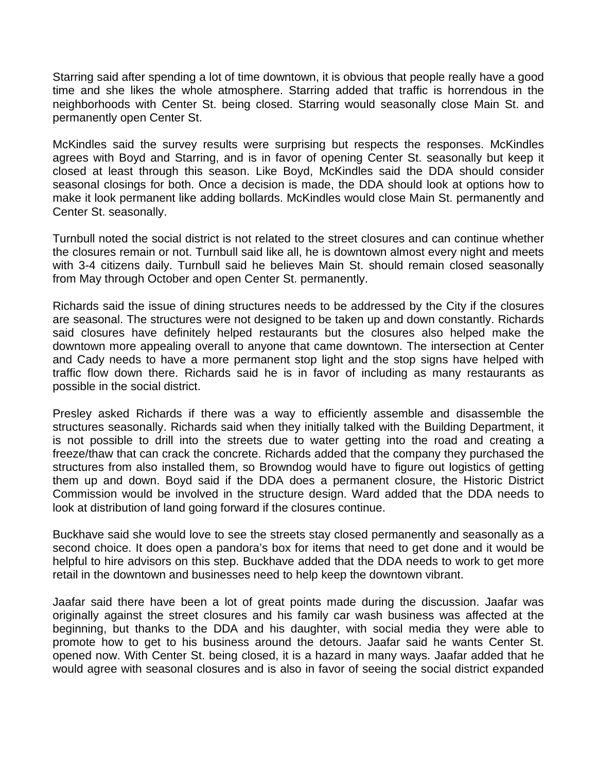Starring said after spending a lot of time downtown, it is obvious that people really have a good time and she likes the whole atmosphere. Starring added that traffic is horrendous in the neighborhoods with Center St. being closed. Starring would seasonally close Main St. and permanently open Center St.

McKindles said the survey results were surprising but respects the responses. McKindles agrees with Boyd and Starring, and is in favor of opening Center St. seasonally but keep it closed at least through this season. Like Boyd, McKindles said the DDA should consider seasonal closings for both. Once a decision is made, the DDA should look at options how to make it look permanent like adding bollards. McKindles would close Main St. permanently and Center St. seasonally.

Turnbull noted the social district is not related to the street closures and can continue whether the closures remain or not. Turnbull said like all, he is downtown almost every night and meets with 3-4 citizens daily. Turnbull said he believes Main St. should remain closed seasonally from May through October and open Center St. permanently.

Richards said the issue of dining structures needs to be addressed by the City if the closures are seasonal. The structures were not designed to be taken up and down constantly. Richards said closures have definitely helped restaurants but the closures also helped make the downtown more appealing overall to anyone that came downtown. The intersection at Center and Cady needs to have a more permanent stop light and the stop signs have helped with traffic flow down there. Richards said he is in favor of including as many restaurants as possible in the social district.

Presley asked Richards if there was a way to efficiently assemble and disassemble the structures seasonally. Richards said when they initially talked with the Building Department, it is not possible to drill into the streets due to water getting into the road and creating a freeze/thaw that can crack the concrete. Richards added that the company they purchased the structures from also installed them, so Browndog would have to figure out logistics of getting them up and down. Boyd said if the DDA does a permanent closure, the Historic District Commission would be involved in the structure design. Ward added that the DDA needs to look at distribution of land going forward if the closures continue.

Buckhave said she would love to see the streets stay closed permanently and seasonally as a second choice. It does open a pandora's box for items that need to get done and it would be helpful to hire advisors on this step. Buckhave added that the DDA needs to work to get more retail in the downtown and businesses need to help keep the downtown vibrant.

Jaafar said there have been a lot of great points made during the discussion. Jaafar was originally against the street closures and his family car wash business was affected at the beginning, but thanks to the DDA and his daughter, with social media they were able to promote how to get to his business around the detours. Jaafar said he wants Center St. opened now. With Center St. being closed, it is a hazard in many ways. Jaafar added that he would agree with seasonal closures and is also in favor of seeing the social district expanded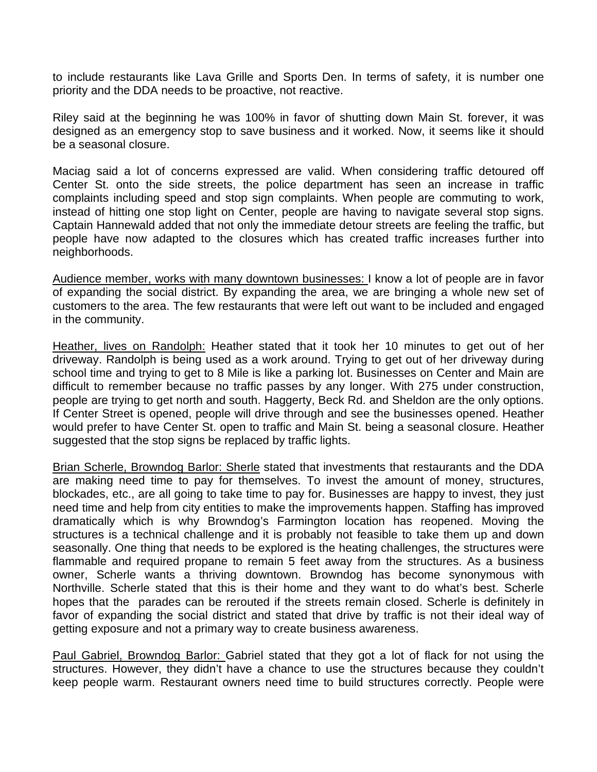to include restaurants like Lava Grille and Sports Den. In terms of safety, it is number one priority and the DDA needs to be proactive, not reactive.

Riley said at the beginning he was 100% in favor of shutting down Main St. forever, it was designed as an emergency stop to save business and it worked. Now, it seems like it should be a seasonal closure.

Maciag said a lot of concerns expressed are valid. When considering traffic detoured off Center St. onto the side streets, the police department has seen an increase in traffic complaints including speed and stop sign complaints. When people are commuting to work, instead of hitting one stop light on Center, people are having to navigate several stop signs. Captain Hannewald added that not only the immediate detour streets are feeling the traffic, but people have now adapted to the closures which has created traffic increases further into neighborhoods.

Audience member, works with many downtown businesses: I know a lot of people are in favor of expanding the social district. By expanding the area, we are bringing a whole new set of customers to the area. The few restaurants that were left out want to be included and engaged in the community.

Heather, lives on Randolph: Heather stated that it took her 10 minutes to get out of her driveway. Randolph is being used as a work around. Trying to get out of her driveway during school time and trying to get to 8 Mile is like a parking lot. Businesses on Center and Main are difficult to remember because no traffic passes by any longer. With 275 under construction, people are trying to get north and south. Haggerty, Beck Rd. and Sheldon are the only options. If Center Street is opened, people will drive through and see the businesses opened. Heather would prefer to have Center St. open to traffic and Main St. being a seasonal closure. Heather suggested that the stop signs be replaced by traffic lights.

Brian Scherle, Browndog Barlor: Sherle stated that investments that restaurants and the DDA are making need time to pay for themselves. To invest the amount of money, structures, blockades, etc., are all going to take time to pay for. Businesses are happy to invest, they just need time and help from city entities to make the improvements happen. Staffing has improved dramatically which is why Browndog's Farmington location has reopened. Moving the structures is a technical challenge and it is probably not feasible to take them up and down seasonally. One thing that needs to be explored is the heating challenges, the structures were flammable and required propane to remain 5 feet away from the structures. As a business owner, Scherle wants a thriving downtown. Browndog has become synonymous with Northville. Scherle stated that this is their home and they want to do what's best. Scherle hopes that the parades can be rerouted if the streets remain closed. Scherle is definitely in favor of expanding the social district and stated that drive by traffic is not their ideal way of getting exposure and not a primary way to create business awareness.

Paul Gabriel, Browndog Barlor: Gabriel stated that they got a lot of flack for not using the structures. However, they didn't have a chance to use the structures because they couldn't keep people warm. Restaurant owners need time to build structures correctly. People were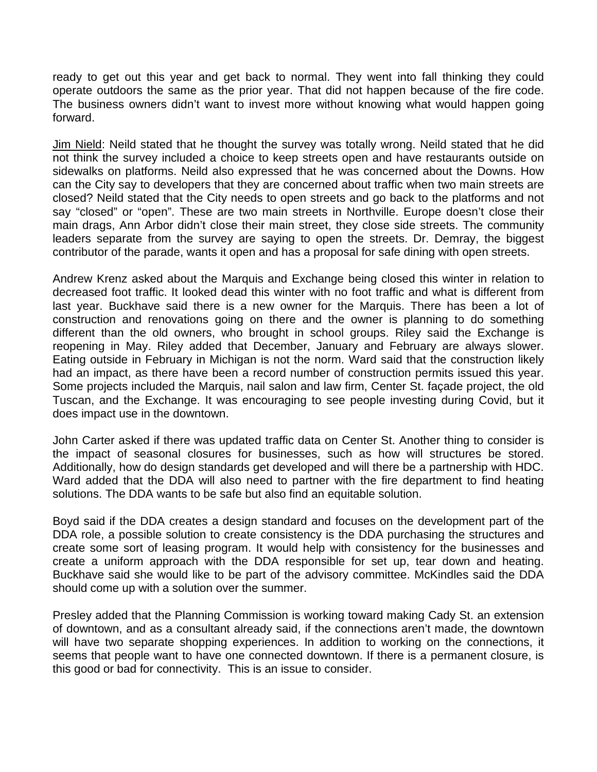ready to get out this year and get back to normal. They went into fall thinking they could operate outdoors the same as the prior year. That did not happen because of the fire code. The business owners didn't want to invest more without knowing what would happen going forward.

Jim Nield: Neild stated that he thought the survey was totally wrong. Neild stated that he did not think the survey included a choice to keep streets open and have restaurants outside on sidewalks on platforms. Neild also expressed that he was concerned about the Downs. How can the City say to developers that they are concerned about traffic when two main streets are closed? Neild stated that the City needs to open streets and go back to the platforms and not say "closed" or "open". These are two main streets in Northville. Europe doesn't close their main drags, Ann Arbor didn't close their main street, they close side streets. The community leaders separate from the survey are saying to open the streets. Dr. Demray, the biggest contributor of the parade, wants it open and has a proposal for safe dining with open streets.

Andrew Krenz asked about the Marquis and Exchange being closed this winter in relation to decreased foot traffic. It looked dead this winter with no foot traffic and what is different from last year. Buckhave said there is a new owner for the Marquis. There has been a lot of construction and renovations going on there and the owner is planning to do something different than the old owners, who brought in school groups. Riley said the Exchange is reopening in May. Riley added that December, January and February are always slower. Eating outside in February in Michigan is not the norm. Ward said that the construction likely had an impact, as there have been a record number of construction permits issued this year. Some projects included the Marquis, nail salon and law firm, Center St. façade project, the old Tuscan, and the Exchange. It was encouraging to see people investing during Covid, but it does impact use in the downtown.

John Carter asked if there was updated traffic data on Center St. Another thing to consider is the impact of seasonal closures for businesses, such as how will structures be stored. Additionally, how do design standards get developed and will there be a partnership with HDC. Ward added that the DDA will also need to partner with the fire department to find heating solutions. The DDA wants to be safe but also find an equitable solution.

Boyd said if the DDA creates a design standard and focuses on the development part of the DDA role, a possible solution to create consistency is the DDA purchasing the structures and create some sort of leasing program. It would help with consistency for the businesses and create a uniform approach with the DDA responsible for set up, tear down and heating. Buckhave said she would like to be part of the advisory committee. McKindles said the DDA should come up with a solution over the summer.

Presley added that the Planning Commission is working toward making Cady St. an extension of downtown, and as a consultant already said, if the connections aren't made, the downtown will have two separate shopping experiences. In addition to working on the connections, it seems that people want to have one connected downtown. If there is a permanent closure, is this good or bad for connectivity. This is an issue to consider.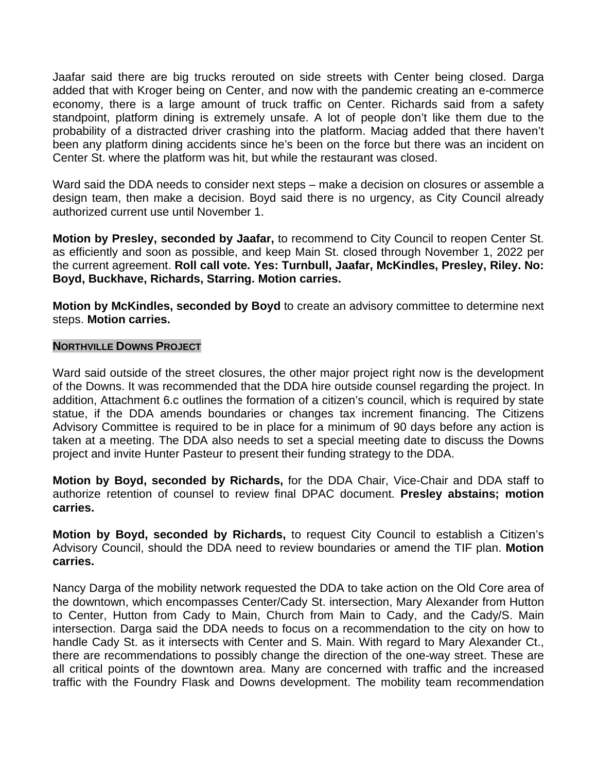Jaafar said there are big trucks rerouted on side streets with Center being closed. Darga added that with Kroger being on Center, and now with the pandemic creating an e-commerce economy, there is a large amount of truck traffic on Center. Richards said from a safety standpoint, platform dining is extremely unsafe. A lot of people don't like them due to the probability of a distracted driver crashing into the platform. Maciag added that there haven't been any platform dining accidents since he's been on the force but there was an incident on Center St. where the platform was hit, but while the restaurant was closed.

Ward said the DDA needs to consider next steps – make a decision on closures or assemble a design team, then make a decision. Boyd said there is no urgency, as City Council already authorized current use until November 1.

**Motion by Presley, seconded by Jaafar,** to recommend to City Council to reopen Center St. as efficiently and soon as possible, and keep Main St. closed through November 1, 2022 per the current agreement. **Roll call vote. Yes: Turnbull, Jaafar, McKindles, Presley, Riley. No: Boyd, Buckhave, Richards, Starring. Motion carries.**

**Motion by McKindles, seconded by Boyd** to create an advisory committee to determine next steps. **Motion carries.**

## **NORTHVILLE DOWNS PROJECT**

Ward said outside of the street closures, the other major project right now is the development of the Downs. It was recommended that the DDA hire outside counsel regarding the project. In addition, Attachment 6.c outlines the formation of a citizen's council, which is required by state statue, if the DDA amends boundaries or changes tax increment financing. The Citizens Advisory Committee is required to be in place for a minimum of 90 days before any action is taken at a meeting. The DDA also needs to set a special meeting date to discuss the Downs project and invite Hunter Pasteur to present their funding strategy to the DDA.

**Motion by Boyd, seconded by Richards,** for the DDA Chair, Vice-Chair and DDA staff to authorize retention of counsel to review final DPAC document. **Presley abstains; motion carries.**

**Motion by Boyd, seconded by Richards,** to request City Council to establish a Citizen's Advisory Council, should the DDA need to review boundaries or amend the TIF plan. **Motion carries.**

Nancy Darga of the mobility network requested the DDA to take action on the Old Core area of the downtown, which encompasses Center/Cady St. intersection, Mary Alexander from Hutton to Center, Hutton from Cady to Main, Church from Main to Cady, and the Cady/S. Main intersection. Darga said the DDA needs to focus on a recommendation to the city on how to handle Cady St. as it intersects with Center and S. Main. With regard to Mary Alexander Ct., there are recommendations to possibly change the direction of the one-way street. These are all critical points of the downtown area. Many are concerned with traffic and the increased traffic with the Foundry Flask and Downs development. The mobility team recommendation